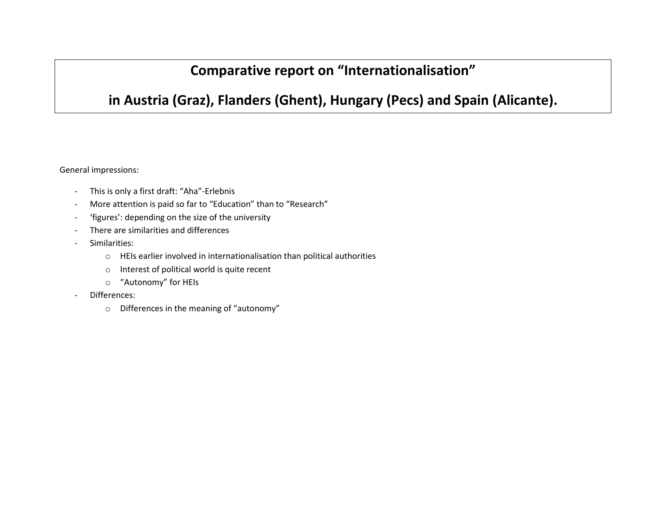# **Comparative report on "Internationalisation"**

## **in Austria (Graz), Flanders (Ghent), Hungary (Pecs) and Spain (Alicante).**

General impressions:

- This is only a first draft: "Aha"-Erlebnis
- More attention is paid so far to "Education" than to "Research"
- 'figures': depending on the size of the university
- There are similarities and differences
- Similarities:
	- o HEIs earlier involved in internationalisation than political authorities
	- o Interest of political world is quite recent
	- o "Autonomy" for HEIs
- Differences:
	- o Differences in the meaning of "autonomy"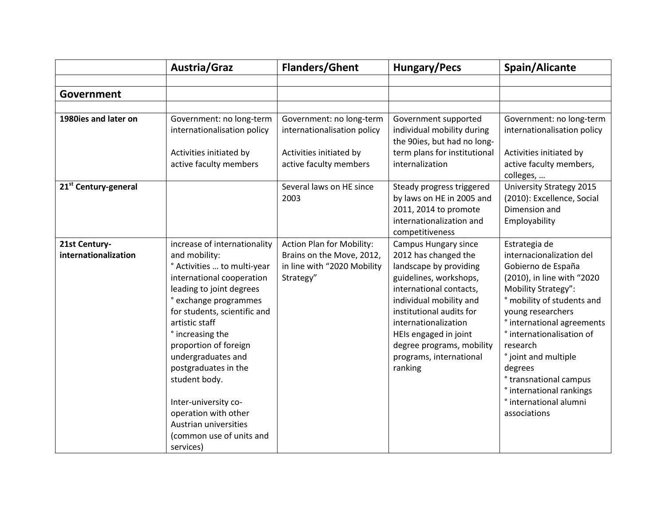|                                       | Austria/Graz                                                                                                                                                                                                                                                                                                                                                                                                                                 | <b>Flanders/Ghent</b>                                                                                        | <b>Hungary/Pecs</b>                                                                                                                                                                                                                                                                                           | Spain/Alicante                                                                                                                                                                                                                                                                                                                                                                                                           |
|---------------------------------------|----------------------------------------------------------------------------------------------------------------------------------------------------------------------------------------------------------------------------------------------------------------------------------------------------------------------------------------------------------------------------------------------------------------------------------------------|--------------------------------------------------------------------------------------------------------------|---------------------------------------------------------------------------------------------------------------------------------------------------------------------------------------------------------------------------------------------------------------------------------------------------------------|--------------------------------------------------------------------------------------------------------------------------------------------------------------------------------------------------------------------------------------------------------------------------------------------------------------------------------------------------------------------------------------------------------------------------|
|                                       |                                                                                                                                                                                                                                                                                                                                                                                                                                              |                                                                                                              |                                                                                                                                                                                                                                                                                                               |                                                                                                                                                                                                                                                                                                                                                                                                                          |
| Government                            |                                                                                                                                                                                                                                                                                                                                                                                                                                              |                                                                                                              |                                                                                                                                                                                                                                                                                                               |                                                                                                                                                                                                                                                                                                                                                                                                                          |
|                                       |                                                                                                                                                                                                                                                                                                                                                                                                                                              |                                                                                                              |                                                                                                                                                                                                                                                                                                               |                                                                                                                                                                                                                                                                                                                                                                                                                          |
| 1980ies and later on                  | Government: no long-term<br>internationalisation policy<br>Activities initiated by<br>active faculty members                                                                                                                                                                                                                                                                                                                                 | Government: no long-term<br>internationalisation policy<br>Activities initiated by<br>active faculty members | Government supported<br>individual mobility during<br>the 90ies, but had no long-<br>term plans for institutional<br>internalization                                                                                                                                                                          | Government: no long-term<br>internationalisation policy<br>Activities initiated by<br>active faculty members,                                                                                                                                                                                                                                                                                                            |
| 21 <sup>st</sup> Century-general      |                                                                                                                                                                                                                                                                                                                                                                                                                                              | Several laws on HE since<br>2003                                                                             | Steady progress triggered<br>by laws on HE in 2005 and<br>2011, 2014 to promote<br>internationalization and<br>competitiveness                                                                                                                                                                                | colleges,<br><b>University Strategy 2015</b><br>(2010): Excellence, Social<br>Dimension and<br>Employability                                                                                                                                                                                                                                                                                                             |
| 21st Century-<br>internationalization | increase of internationality<br>and mobility:<br>° Activities  to multi-year<br>international cooperation<br>leading to joint degrees<br>exchange programmes<br>for students, scientific and<br>artistic staff<br>° increasing the<br>proportion of foreign<br>undergraduates and<br>postgraduates in the<br>student body.<br>Inter-university co-<br>operation with other<br>Austrian universities<br>(common use of units and<br>services) | Action Plan for Mobility:<br>Brains on the Move, 2012,<br>in line with "2020 Mobility<br>Strategy"           | <b>Campus Hungary since</b><br>2012 has changed the<br>landscape by providing<br>guidelines, workshops,<br>international contacts,<br>individual mobility and<br>institutional audits for<br>internationalization<br>HEIs engaged in joint<br>degree programs, mobility<br>programs, international<br>ranking | Estrategia de<br>internacionalization del<br>Gobierno de España<br>(2010), in line with "2020<br>Mobility Strategy":<br>° mobility of students and<br>young researchers<br><i><b>*</b></i> international agreements<br>° internationalisation of<br>research<br>° joint and multiple<br>degrees<br><sup>o</sup> transnational campus<br>° international rankings<br><i><b>*</b></i> international alumni<br>associations |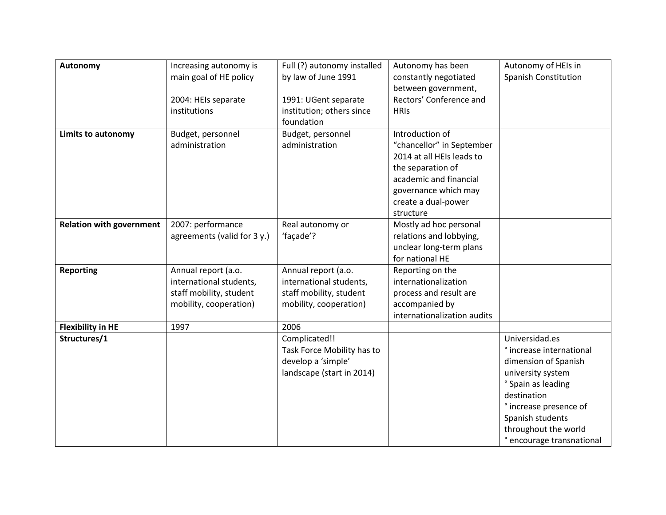| Autonomy                        | Increasing autonomy is<br>main goal of HE policy | Full (?) autonomy installed<br>by law of June 1991 | Autonomy has been<br>constantly negotiated  | Autonomy of HEIs in<br><b>Spanish Constitution</b> |
|---------------------------------|--------------------------------------------------|----------------------------------------------------|---------------------------------------------|----------------------------------------------------|
|                                 |                                                  |                                                    | between government,                         |                                                    |
|                                 | 2004: HEIs separate                              | 1991: UGent separate                               | Rectors' Conference and                     |                                                    |
|                                 | institutions                                     | institution; others since                          | <b>HRIS</b>                                 |                                                    |
|                                 |                                                  | foundation                                         |                                             |                                                    |
| <b>Limits to autonomy</b>       | Budget, personnel                                | Budget, personnel                                  | Introduction of                             |                                                    |
|                                 | administration                                   | administration                                     | "chancellor" in September                   |                                                    |
|                                 |                                                  |                                                    | 2014 at all HEIs leads to                   |                                                    |
|                                 |                                                  |                                                    | the separation of                           |                                                    |
|                                 |                                                  |                                                    | academic and financial                      |                                                    |
|                                 |                                                  |                                                    | governance which may<br>create a dual-power |                                                    |
|                                 |                                                  |                                                    | structure                                   |                                                    |
| <b>Relation with government</b> | 2007: performance                                | Real autonomy or                                   | Mostly ad hoc personal                      |                                                    |
|                                 | agreements (valid for 3 y.)                      | 'façade'?                                          | relations and lobbying,                     |                                                    |
|                                 |                                                  |                                                    | unclear long-term plans                     |                                                    |
|                                 |                                                  |                                                    | for national HE                             |                                                    |
| <b>Reporting</b>                | Annual report (a.o.                              | Annual report (a.o.                                | Reporting on the                            |                                                    |
|                                 | international students,                          | international students,                            | internationalization                        |                                                    |
|                                 | staff mobility, student                          | staff mobility, student                            | process and result are                      |                                                    |
|                                 | mobility, cooperation)                           | mobility, cooperation)                             | accompanied by                              |                                                    |
|                                 |                                                  |                                                    | internationalization audits                 |                                                    |
| <b>Flexibility in HE</b>        | 1997                                             | 2006                                               |                                             |                                                    |
| Structures/1                    |                                                  | Complicated!!                                      |                                             | Universidad.es                                     |
|                                 |                                                  | Task Force Mobility has to                         |                                             | <i>e</i> increase international                    |
|                                 |                                                  | develop a 'simple'                                 |                                             | dimension of Spanish                               |
|                                 |                                                  | landscape (start in 2014)                          |                                             | university system                                  |
|                                 |                                                  |                                                    |                                             | ° Spain as leading                                 |
|                                 |                                                  |                                                    |                                             | destination                                        |
|                                 |                                                  |                                                    |                                             | ° increase presence of                             |
|                                 |                                                  |                                                    |                                             | Spanish students<br>throughout the world           |
|                                 |                                                  |                                                    |                                             | <sup>o</sup> encourage transnational               |
|                                 |                                                  |                                                    |                                             |                                                    |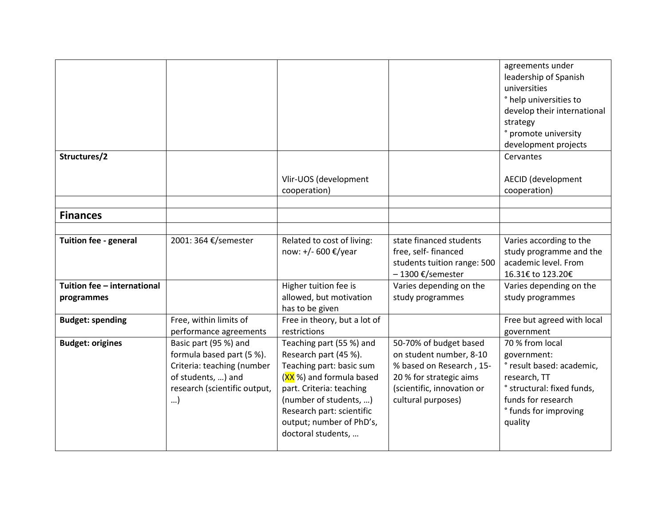|                              |                                                                                                                                             |                                                                                                                                                                                                                                                |                                                                                                                                                              | agreements under<br>leadership of Spanish<br>universities<br>° help universities to<br>develop their international                                                  |
|------------------------------|---------------------------------------------------------------------------------------------------------------------------------------------|------------------------------------------------------------------------------------------------------------------------------------------------------------------------------------------------------------------------------------------------|--------------------------------------------------------------------------------------------------------------------------------------------------------------|---------------------------------------------------------------------------------------------------------------------------------------------------------------------|
|                              |                                                                                                                                             |                                                                                                                                                                                                                                                |                                                                                                                                                              | strategy                                                                                                                                                            |
|                              |                                                                                                                                             |                                                                                                                                                                                                                                                |                                                                                                                                                              | ° promote university<br>development projects                                                                                                                        |
| Structures/2                 |                                                                                                                                             |                                                                                                                                                                                                                                                |                                                                                                                                                              | Cervantes                                                                                                                                                           |
|                              |                                                                                                                                             | Vlir-UOS (development<br>cooperation)                                                                                                                                                                                                          |                                                                                                                                                              | <b>AECID</b> (development<br>cooperation)                                                                                                                           |
| <b>Finances</b>              |                                                                                                                                             |                                                                                                                                                                                                                                                |                                                                                                                                                              |                                                                                                                                                                     |
|                              |                                                                                                                                             |                                                                                                                                                                                                                                                |                                                                                                                                                              |                                                                                                                                                                     |
| <b>Tuition fee - general</b> | 2001: 364 €/semester                                                                                                                        | Related to cost of living:<br>now: +/- 600 €/year                                                                                                                                                                                              | state financed students<br>free, self- financed<br>students tuition range: 500<br>-1300 €/semester                                                           | Varies according to the<br>study programme and the<br>academic level. From<br>16.31€ to 123.20€                                                                     |
| Tuition fee - international  |                                                                                                                                             | Higher tuition fee is                                                                                                                                                                                                                          | Varies depending on the                                                                                                                                      | Varies depending on the                                                                                                                                             |
| programmes                   |                                                                                                                                             | allowed, but motivation<br>has to be given                                                                                                                                                                                                     | study programmes                                                                                                                                             | study programmes                                                                                                                                                    |
| <b>Budget: spending</b>      | Free, within limits of<br>performance agreements                                                                                            | Free in theory, but a lot of<br>restrictions                                                                                                                                                                                                   |                                                                                                                                                              | Free but agreed with local<br>government                                                                                                                            |
| <b>Budget: origines</b>      | Basic part (95 %) and<br>formula based part (5 %).<br>Criteria: teaching (number<br>of students, ) and<br>research (scientific output,<br>) | Teaching part (55 %) and<br>Research part (45 %).<br>Teaching part: basic sum<br>(XX %) and formula based<br>part. Criteria: teaching<br>(number of students, )<br>Research part: scientific<br>output; number of PhD's,<br>doctoral students, | 50-70% of budget based<br>on student number, 8-10<br>% based on Research, 15-<br>20 % for strategic aims<br>(scientific, innovation or<br>cultural purposes) | 70 % from local<br>government:<br>° result based: academic,<br>research, TT<br>° structural: fixed funds,<br>funds for research<br>° funds for improving<br>quality |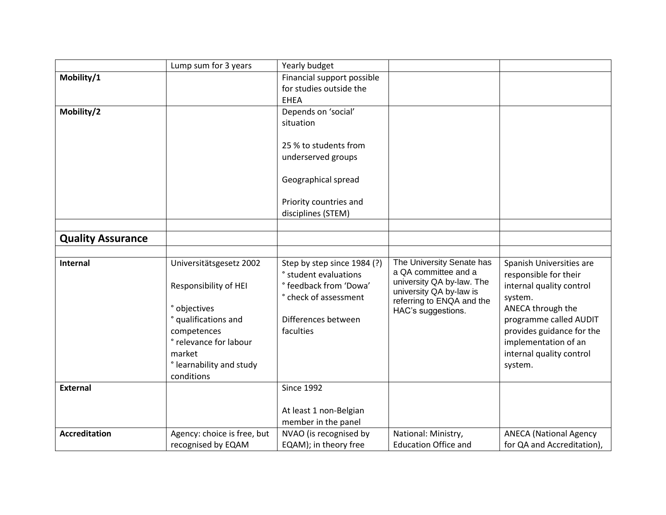|                          | Lump sum for 3 years        | Yearly budget                                   |                                                   |                               |
|--------------------------|-----------------------------|-------------------------------------------------|---------------------------------------------------|-------------------------------|
| Mobility/1               |                             | Financial support possible                      |                                                   |                               |
|                          |                             | for studies outside the                         |                                                   |                               |
|                          |                             | <b>EHEA</b>                                     |                                                   |                               |
| Mobility/2               |                             | Depends on 'social'                             |                                                   |                               |
|                          |                             | situation                                       |                                                   |                               |
|                          |                             |                                                 |                                                   |                               |
|                          |                             | 25 % to students from                           |                                                   |                               |
|                          |                             | underserved groups                              |                                                   |                               |
|                          |                             |                                                 |                                                   |                               |
|                          |                             | Geographical spread                             |                                                   |                               |
|                          |                             |                                                 |                                                   |                               |
|                          |                             | Priority countries and                          |                                                   |                               |
|                          |                             | disciplines (STEM)                              |                                                   |                               |
|                          |                             |                                                 |                                                   |                               |
| <b>Quality Assurance</b> |                             |                                                 |                                                   |                               |
|                          |                             |                                                 |                                                   |                               |
| <b>Internal</b>          | Universitätsgesetz 2002     | Step by step since 1984 (?)                     | The University Senate has<br>a QA committee and a | Spanish Universities are      |
|                          |                             | ° student evaluations                           | university QA by-law. The                         | responsible for their         |
|                          | Responsibility of HEI       | ° feedback from 'Dowa'<br>° check of assessment | university QA by-law is                           | internal quality control      |
|                          | ° objectives                |                                                 | referring to ENQA and the                         | system.<br>ANECA through the  |
|                          | ° qualifications and        | Differences between                             | HAC's suggestions.                                | programme called AUDIT        |
|                          | competences                 | faculties                                       |                                                   | provides guidance for the     |
|                          | ° relevance for labour      |                                                 |                                                   | implementation of an          |
|                          | market                      |                                                 |                                                   | internal quality control      |
|                          | ° learnability and study    |                                                 |                                                   | system.                       |
|                          | conditions                  |                                                 |                                                   |                               |
| <b>External</b>          |                             | <b>Since 1992</b>                               |                                                   |                               |
|                          |                             |                                                 |                                                   |                               |
|                          |                             | At least 1 non-Belgian                          |                                                   |                               |
|                          |                             | member in the panel                             |                                                   |                               |
| <b>Accreditation</b>     | Agency: choice is free, but | NVAO (is recognised by                          | National: Ministry,                               | <b>ANECA (National Agency</b> |
|                          | recognised by EQAM          | EQAM); in theory free                           | <b>Education Office and</b>                       | for QA and Accreditation),    |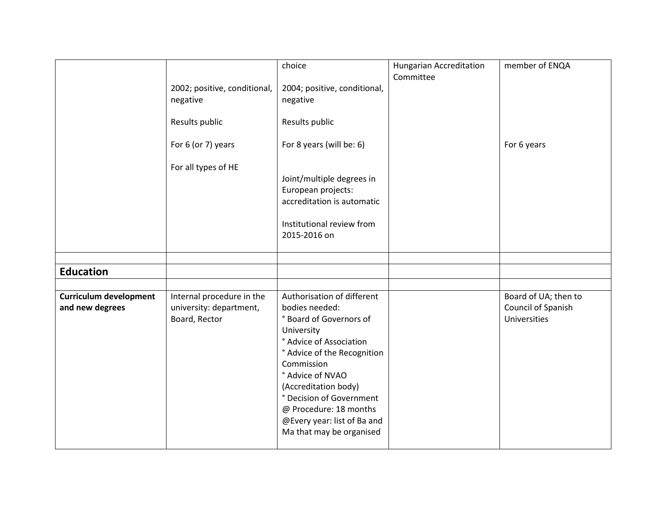|                                                  |                                                                       | choice                                                                                                                                                                                                                                                                                                                     | <b>Hungarian Accreditation</b><br>Committee | member of ENQA                                             |
|--------------------------------------------------|-----------------------------------------------------------------------|----------------------------------------------------------------------------------------------------------------------------------------------------------------------------------------------------------------------------------------------------------------------------------------------------------------------------|---------------------------------------------|------------------------------------------------------------|
|                                                  | 2002; positive, conditional,<br>negative                              | 2004; positive, conditional,<br>negative                                                                                                                                                                                                                                                                                   |                                             |                                                            |
|                                                  | Results public                                                        | Results public                                                                                                                                                                                                                                                                                                             |                                             |                                                            |
|                                                  | For 6 (or 7) years                                                    | For 8 years (will be: 6)                                                                                                                                                                                                                                                                                                   |                                             | For 6 years                                                |
|                                                  | For all types of HE                                                   | Joint/multiple degrees in<br>European projects:<br>accreditation is automatic<br>Institutional review from<br>2015-2016 on                                                                                                                                                                                                 |                                             |                                                            |
|                                                  |                                                                       |                                                                                                                                                                                                                                                                                                                            |                                             |                                                            |
| <b>Education</b>                                 |                                                                       |                                                                                                                                                                                                                                                                                                                            |                                             |                                                            |
| <b>Curriculum development</b><br>and new degrees | Internal procedure in the<br>university: department,<br>Board, Rector | Authorisation of different<br>bodies needed:<br>° Board of Governors of<br>University<br>° Advice of Association<br>° Advice of the Recognition<br>Commission<br>° Advice of NVAO<br>(Accreditation body)<br>° Decision of Government<br>@ Procedure: 18 months<br>@Every year: list of Ba and<br>Ma that may be organised |                                             | Board of UA; then to<br>Council of Spanish<br>Universities |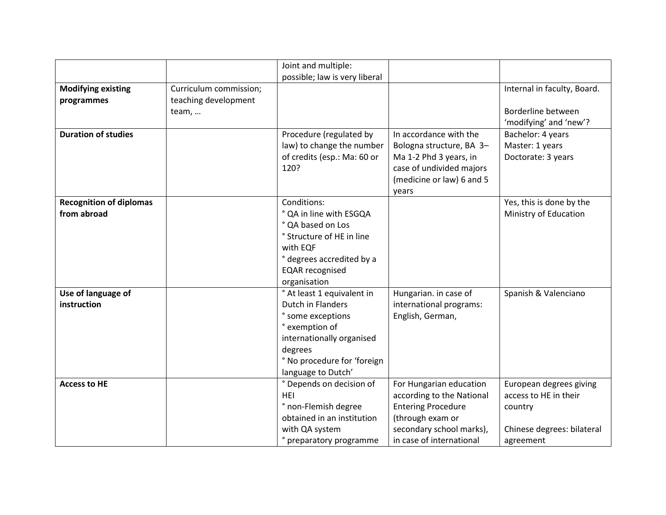|                                |                        | Joint and multiple:           |                           |                             |
|--------------------------------|------------------------|-------------------------------|---------------------------|-----------------------------|
|                                |                        | possible; law is very liberal |                           |                             |
| <b>Modifying existing</b>      | Curriculum commission; |                               |                           | Internal in faculty, Board. |
| programmes                     | teaching development   |                               |                           |                             |
|                                | team,                  |                               |                           | Borderline between          |
|                                |                        |                               |                           | 'modifying' and 'new'?      |
| <b>Duration of studies</b>     |                        | Procedure (regulated by       | In accordance with the    | Bachelor: 4 years           |
|                                |                        | law) to change the number     | Bologna structure, BA 3-  | Master: 1 years             |
|                                |                        | of credits (esp.: Ma: 60 or   | Ma 1-2 Phd 3 years, in    | Doctorate: 3 years          |
|                                |                        | 120?                          | case of undivided majors  |                             |
|                                |                        |                               | (medicine or law) 6 and 5 |                             |
|                                |                        |                               | years                     |                             |
| <b>Recognition of diplomas</b> |                        | Conditions:                   |                           | Yes, this is done by the    |
| from abroad                    |                        | ° QA in line with ESGQA       |                           | Ministry of Education       |
|                                |                        | ° QA based on Los             |                           |                             |
|                                |                        | ° Structure of HE in line     |                           |                             |
|                                |                        | with EQF                      |                           |                             |
|                                |                        | ° degrees accredited by a     |                           |                             |
|                                |                        | <b>EQAR</b> recognised        |                           |                             |
|                                |                        | organisation                  |                           |                             |
| Use of language of             |                        | ° At least 1 equivalent in    | Hungarian. in case of     | Spanish & Valenciano        |
| instruction                    |                        | <b>Dutch in Flanders</b>      | international programs:   |                             |
|                                |                        | ° some exceptions             | English, German,          |                             |
|                                |                        | ° exemption of                |                           |                             |
|                                |                        | internationally organised     |                           |                             |
|                                |                        | degrees                       |                           |                             |
|                                |                        | ° No procedure for 'foreign   |                           |                             |
|                                |                        | language to Dutch'            |                           |                             |
| <b>Access to HE</b>            |                        | ° Depends on decision of      | For Hungarian education   | European degrees giving     |
|                                |                        | <b>HEI</b>                    | according to the National | access to HE in their       |
|                                |                        | ° non-Flemish degree          | <b>Entering Procedure</b> | country                     |
|                                |                        | obtained in an institution    | (through exam or          |                             |
|                                |                        | with QA system                | secondary school marks),  | Chinese degrees: bilateral  |
|                                |                        | ° preparatory programme       | in case of international  | agreement                   |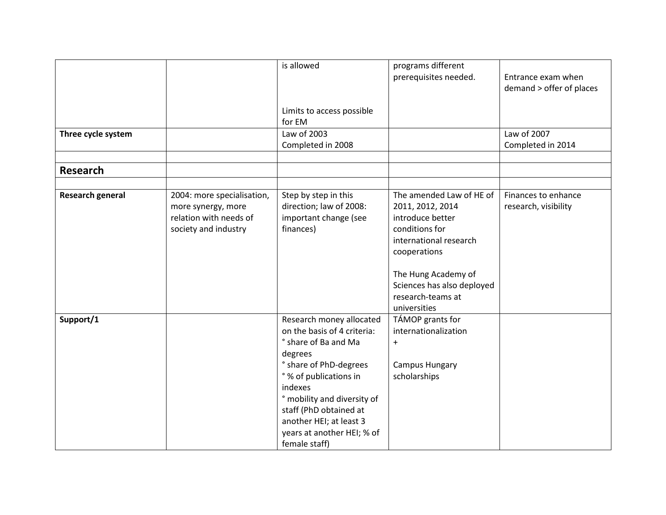|                         |                                                                                                    | is allowed                                                                                                                                                                                                                                                                                   | programs different                                                                                                                                                                                                     |                                                |
|-------------------------|----------------------------------------------------------------------------------------------------|----------------------------------------------------------------------------------------------------------------------------------------------------------------------------------------------------------------------------------------------------------------------------------------------|------------------------------------------------------------------------------------------------------------------------------------------------------------------------------------------------------------------------|------------------------------------------------|
|                         |                                                                                                    |                                                                                                                                                                                                                                                                                              | prerequisites needed.                                                                                                                                                                                                  | Entrance exam when<br>demand > offer of places |
|                         |                                                                                                    | Limits to access possible<br>for EM                                                                                                                                                                                                                                                          |                                                                                                                                                                                                                        |                                                |
| Three cycle system      |                                                                                                    | Law of 2003<br>Completed in 2008                                                                                                                                                                                                                                                             |                                                                                                                                                                                                                        | Law of 2007<br>Completed in 2014               |
|                         |                                                                                                    |                                                                                                                                                                                                                                                                                              |                                                                                                                                                                                                                        |                                                |
| <b>Research</b>         |                                                                                                    |                                                                                                                                                                                                                                                                                              |                                                                                                                                                                                                                        |                                                |
|                         |                                                                                                    |                                                                                                                                                                                                                                                                                              |                                                                                                                                                                                                                        |                                                |
| <b>Research general</b> | 2004: more specialisation,<br>more synergy, more<br>relation with needs of<br>society and industry | Step by step in this<br>direction; law of 2008:<br>important change (see<br>finances)                                                                                                                                                                                                        | The amended Law of HE of<br>2011, 2012, 2014<br>introduce better<br>conditions for<br>international research<br>cooperations<br>The Hung Academy of<br>Sciences has also deployed<br>research-teams at<br>universities | Finances to enhance<br>research, visibility    |
| Support/1               |                                                                                                    | Research money allocated<br>on the basis of 4 criteria:<br>° share of Ba and Ma<br>degrees<br>° share of PhD-degrees<br>° % of publications in<br>indexes<br>° mobility and diversity of<br>staff (PhD obtained at<br>another HEI; at least 3<br>years at another HEI; % of<br>female staff) | TÁMOP grants for<br>internationalization<br>$\ddot{}$<br><b>Campus Hungary</b><br>scholarships                                                                                                                         |                                                |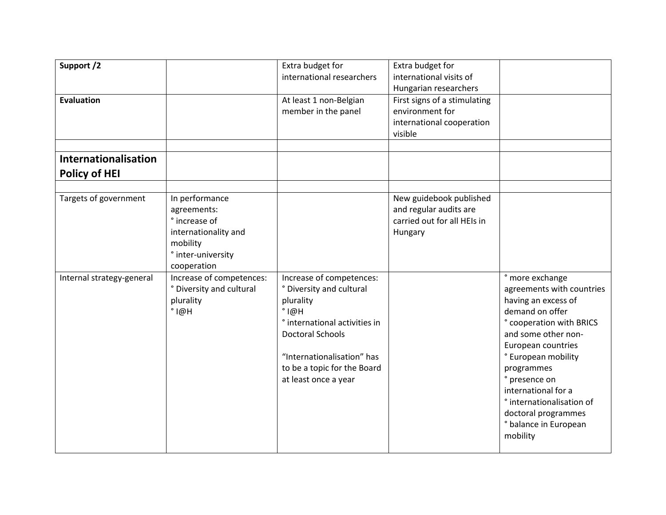| Support /2<br><b>Evaluation</b>                    |                                                                                                                                                                                                                | Extra budget for<br>international researchers<br>At least 1 non-Belgian<br>member in the panel                       | Extra budget for<br>international visits of<br>Hungarian researchers<br>First signs of a stimulating<br>environment for<br>international cooperation<br>visible |                                                                                                                                                                                                                 |
|----------------------------------------------------|----------------------------------------------------------------------------------------------------------------------------------------------------------------------------------------------------------------|----------------------------------------------------------------------------------------------------------------------|-----------------------------------------------------------------------------------------------------------------------------------------------------------------|-----------------------------------------------------------------------------------------------------------------------------------------------------------------------------------------------------------------|
| Internationalisation<br><b>Policy of HEI</b>       |                                                                                                                                                                                                                |                                                                                                                      |                                                                                                                                                                 |                                                                                                                                                                                                                 |
| Targets of government<br>Internal strategy-general | In performance<br>agreements:<br>° increase of<br>internationality and<br>mobility<br>° inter-university<br>cooperation<br>Increase of competences:<br>° Diversity and cultural<br>plurality<br>$^{\circ}$ I@H | Increase of competences:<br>° Diversity and cultural<br>plurality<br>$^{\circ}$ I@H<br>° international activities in | New guidebook published<br>and regular audits are<br>carried out for all HEIs in<br>Hungary                                                                     | ° more exchange<br>agreements with countries<br>having an excess of<br>demand on offer<br>° cooperation with BRICS                                                                                              |
|                                                    |                                                                                                                                                                                                                | <b>Doctoral Schools</b><br>"Internationalisation" has<br>to be a topic for the Board<br>at least once a year         |                                                                                                                                                                 | and some other non-<br>European countries<br>° European mobility<br>programmes<br>° presence on<br>international for a<br>° internationalisation of<br>doctoral programmes<br>° balance in European<br>mobility |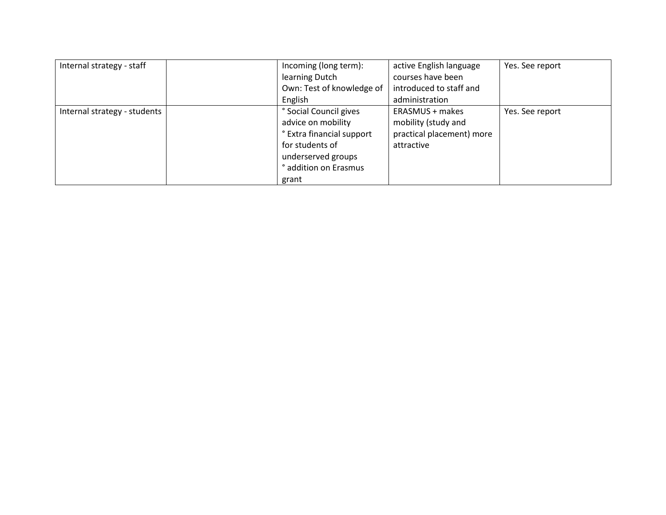| Internal strategy - staff    | Incoming (long term):             | active English language   | Yes. See report |
|------------------------------|-----------------------------------|---------------------------|-----------------|
|                              | learning Dutch                    | courses have been         |                 |
|                              | Own: Test of knowledge of         | introduced to staff and   |                 |
|                              | English                           | administration            |                 |
| Internal strategy - students | <sup>o</sup> Social Council gives | ERASMUS + makes           | Yes. See report |
|                              | advice on mobility                | mobility (study and       |                 |
|                              | ° Extra financial support         | practical placement) more |                 |
|                              | for students of                   | attractive                |                 |
|                              | underserved groups                |                           |                 |
|                              | ° addition on Erasmus             |                           |                 |
|                              | grant                             |                           |                 |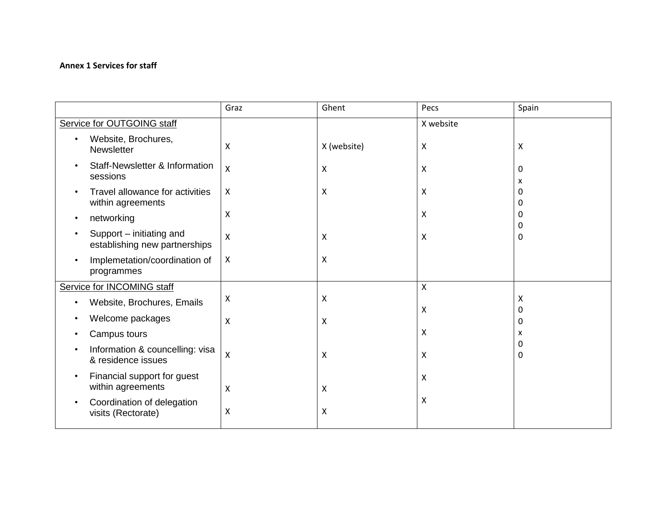### **Annex 1 Services for staff**

|                                                           | Graz                      | Ghent       | Pecs      | Spain            |
|-----------------------------------------------------------|---------------------------|-------------|-----------|------------------|
| Service for OUTGOING staff                                |                           |             | X website |                  |
| Website, Brochures,<br>Newsletter                         | X                         | X (website) | X         | X                |
| Staff-Newsletter & Information<br>sessions                | X                         | X           | X         | $\Omega$<br>x    |
| Travel allowance for activities<br>within agreements      | $\boldsymbol{\mathsf{X}}$ | X           | X         | 0<br>0           |
| networking                                                | $\boldsymbol{\mathsf{X}}$ |             | X         | 0                |
| Support - initiating and<br>establishing new partnerships | $\boldsymbol{\mathsf{X}}$ | X           | Χ         | 0<br>$\Omega$    |
| Implemetation/coordination of<br>programmes               | X                         | X           |           |                  |
| Service for INCOMING staff                                |                           |             | X         |                  |
| Website, Brochures, Emails                                | $\boldsymbol{\mathsf{X}}$ | Χ           | X         | X                |
| Welcome packages                                          | X                         | X           |           | $\mathbf 0$<br>0 |
| Campus tours                                              |                           |             | X         | x                |
| Information & councelling: visa<br>& residence issues     | $\boldsymbol{\mathsf{X}}$ | X           | X         | 0<br>$\Omega$    |
| Financial support for guest<br>within agreements          | X                         | X           | X         |                  |
| Coordination of delegation<br>visits (Rectorate)          | X                         | X           | Χ         |                  |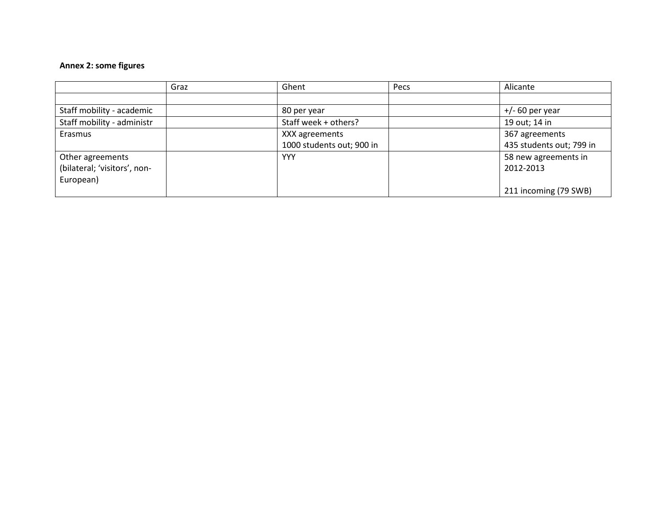### **Annex 2: some figures**

|                              | Graz | Ghent                     | Pecs | Alicante                 |
|------------------------------|------|---------------------------|------|--------------------------|
|                              |      |                           |      |                          |
| Staff mobility - academic    |      | 80 per year               |      | $+/- 60$ per year        |
| Staff mobility - administr   |      | Staff week + others?      |      | 19 out; 14 in            |
| Erasmus                      |      | XXX agreements            |      | 367 agreements           |
|                              |      | 1000 students out; 900 in |      | 435 students out; 799 in |
| Other agreements             |      | <b>YYY</b>                |      | 58 new agreements in     |
| (bilateral; 'visitors', non- |      |                           |      | 2012-2013                |
| European)                    |      |                           |      |                          |
|                              |      |                           |      | 211 incoming (79 SWB)    |